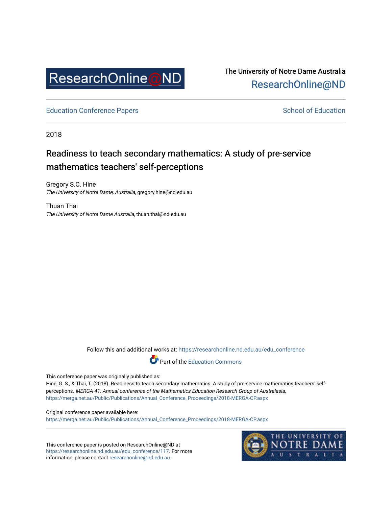

The University of Notre Dame Australia [ResearchOnline@ND](https://researchonline.nd.edu.au/) 

[Education Conference Papers](https://researchonline.nd.edu.au/edu_conference) **School of Education** School of Education

2018

# Readiness to teach secondary mathematics: A study of pre-service mathematics teachers' self-perceptions

Gregory S.C. Hine The University of Notre Dame, Australia, gregory.hine@nd.edu.au

Thuan Thai The University of Notre Dame Australia, thuan.thai@nd.edu.au

Follow this and additional works at: [https://researchonline.nd.edu.au/edu\\_conference](https://researchonline.nd.edu.au/edu_conference?utm_source=researchonline.nd.edu.au%2Fedu_conference%2F117&utm_medium=PDF&utm_campaign=PDFCoverPages)

Part of the [Education Commons](http://network.bepress.com/hgg/discipline/784?utm_source=researchonline.nd.edu.au%2Fedu_conference%2F117&utm_medium=PDF&utm_campaign=PDFCoverPages) 

This conference paper was originally published as:

Hine, G. S., & Thai, T. (2018). Readiness to teach secondary mathematics: A study of pre-service mathematics teachers' selfperceptions. MERGA 41: Annual conference of the Mathematics Education Research Group of Australasia. [https://merga.net.au/Public/Publications/Annual\\_Conference\\_Proceedings/2018-MERGA-CP.aspx](https://merga.net.au/Public/Publications/Annual_Conference_Proceedings/2018-MERGA-CP.aspx) 

Original conference paper available here: [https://merga.net.au/Public/Publications/Annual\\_Conference\\_Proceedings/2018-MERGA-CP.aspx](https://merga.net.au/Public/Publications/Annual_Conference_Proceedings/2018-MERGA-CP.aspx) 

This conference paper is posted on ResearchOnline@ND at [https://researchonline.nd.edu.au/edu\\_conference/117](https://researchonline.nd.edu.au/edu_conference/117). For more information, please contact [researchonline@nd.edu.au.](mailto:researchonline@nd.edu.au)

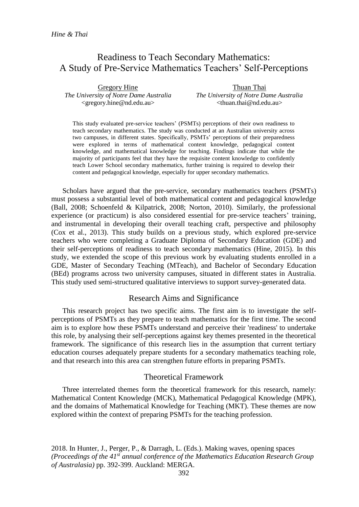# Readiness to Teach Secondary Mathematics: A Study of Pre-Service Mathematics Teachers' Self-Perceptions

Gregory Hine *The University of Notre Dame Australia* <gregory.hine@nd.edu.au>

Thuan Thai *The University of Notre Dame Australia* <thuan.thai@nd.edu.au>

This study evaluated pre-service teachers' (PSMTs) perceptions of their own readiness to teach secondary mathematics. The study was conducted at an Australian university across two campuses, in different states. Specifically, PSMTs' perceptions of their preparedness were explored in terms of mathematical content knowledge, pedagogical content knowledge, and mathematical knowledge for teaching. Findings indicate that while the majority of participants feel that they have the requisite content knowledge to confidently teach Lower School secondary mathematics, further training is required to develop their content and pedagogical knowledge, especially for upper secondary mathematics.

Scholars have argued that the pre-service, secondary mathematics teachers (PSMTs) must possess a substantial level of both mathematical content and pedagogical knowledge (Ball, 2008; Schoenfeld & Kilpatrick, 2008; Norton, 2010). Similarly, the professional experience (or practicum) is also considered essential for pre-service teachers' training, and instrumental in developing their overall teaching craft, perspective and philosophy (Cox et al., 2013). This study builds on a previous study, which explored pre-service teachers who were completing a Graduate Diploma of Secondary Education (GDE) and their self-perceptions of readiness to teach secondary mathematics (Hine, 2015). In this study, we extended the scope of this previous work by evaluating students enrolled in a GDE, Master of Secondary Teaching (MTeach), and Bachelor of Secondary Education (BEd) programs across two university campuses, situated in different states in Australia. This study used semi-structured qualitative interviews to support survey-generated data.

# Research Aims and Significance

This research project has two specific aims. The first aim is to investigate the selfperceptions of PSMTs as they prepare to teach mathematics for the first time. The second aim is to explore how these PSMTs understand and perceive their 'readiness' to undertake this role, by analysing their self-perceptions against key themes presented in the theoretical framework. The significance of this research lies in the assumption that current tertiary education courses adequately prepare students for a secondary mathematics teaching role, and that research into this area can strengthen future efforts in preparing PSMTs.

# Theoretical Framework

Three interrelated themes form the theoretical framework for this research, namely: Mathematical Content Knowledge (MCK), Mathematical Pedagogical Knowledge (MPK), and the domains of Mathematical Knowledge for Teaching (MKT). These themes are now explored within the context of preparing PSMTs for the teaching profession.

2018. In Hunter, J., Perger, P., & Darragh, L. (Eds.). Making waves, opening spaces *(Proceedings of the 41st annual conference of the Mathematics Education Research Group of Australasia)* pp. 392-399. Auckland: MERGA.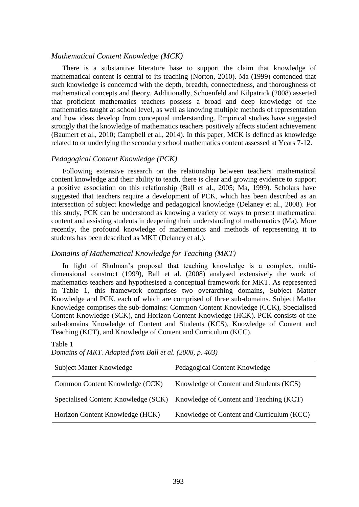# *Mathematical Content Knowledge (MCK)*

There is a substantive literature base to support the claim that knowledge of mathematical content is central to its teaching (Norton, 2010). Ma (1999) contended that such knowledge is concerned with the depth, breadth, connectedness, and thoroughness of mathematical concepts and theory. Additionally, Schoenfeld and Kilpatrick (2008) asserted that proficient mathematics teachers possess a broad and deep knowledge of the mathematics taught at school level, as well as knowing multiple methods of representation and how ideas develop from conceptual understanding. Empirical studies have suggested strongly that the knowledge of mathematics teachers positively affects student achievement (Baumert et al., 2010; Campbell et al., 2014). In this paper, MCK is defined as knowledge related to or underlying the secondary school mathematics content assessed at Years 7-12.

# *Pedagogical Content Knowledge (PCK)*

Following extensive research on the relationship between teachers' mathematical content knowledge and their ability to teach, there is clear and growing evidence to support a positive association on this relationship (Ball et al., 2005; Ma, 1999). Scholars have suggested that teachers require a development of PCK, which has been described as an intersection of subject knowledge and pedagogical knowledge (Delaney et al., 2008). For this study, PCK can be understood as knowing a variety of ways to present mathematical content and assisting students in deepening their understanding of mathematics (Ma). More recently, the profound knowledge of mathematics and methods of representing it to students has been described as MKT (Delaney et al.).

# *Domains of Mathematical Knowledge for Teaching (MKT)*

In light of Shulman's proposal that teaching knowledge is a complex, multidimensional construct (1999), Ball et al. (2008) analysed extensively the work of mathematics teachers and hypothesised a conceptual framework for MKT. As represented in Table 1, this framework comprises two overarching domains, Subject Matter Knowledge and PCK, each of which are comprised of three sub-domains. Subject Matter Knowledge comprises the sub-domains: Common Content Knowledge (CCK), Specialised Content Knowledge (SCK), and Horizon Content Knowledge (HCK). PCK consists of the sub-domains Knowledge of Content and Students (KCS), Knowledge of Content and Teaching (KCT), and Knowledge of Content and Curriculum (KCC).

| <b>Subject Matter Knowledge</b>     | Pedagogical Content Knowledge             |
|-------------------------------------|-------------------------------------------|
| Common Content Knowledge (CCK)      | Knowledge of Content and Students (KCS)   |
| Specialised Content Knowledge (SCK) | Knowledge of Content and Teaching (KCT)   |
| Horizon Content Knowledge (HCK)     | Knowledge of Content and Curriculum (KCC) |

Table 1 *Domains of MKT. Adapted from Ball et al. (2008, p. 403)*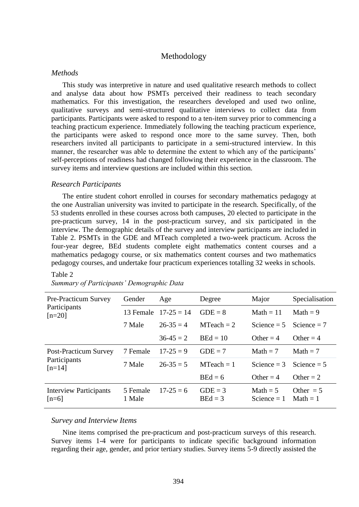# Methodology

#### *Methods*

This study was interpretive in nature and used qualitative research methods to collect and analyse data about how PSMTs perceived their readiness to teach secondary mathematics. For this investigation, the researchers developed and used two online, qualitative surveys and semi-structured qualitative interviews to collect data from participants. Participants were asked to respond to a ten-item survey prior to commencing a teaching practicum experience. Immediately following the teaching practicum experience, the participants were asked to respond once more to the same survey. Then, both researchers invited all participants to participate in a semi-structured interview. In this manner, the researcher was able to determine the extent to which any of the participants' self-perceptions of readiness had changed following their experience in the classroom. The survey items and interview questions are included within this section.

### *Research Participants*

The entire student cohort enrolled in courses for secondary mathematics pedagogy at the one Australian university was invited to participate in the research. Specifically, of the 53 students enrolled in these courses across both campuses, 20 elected to participate in the pre-practicum survey, 14 in the post-practicum survey, and six participated in the interview. The demographic details of the survey and interview participants are included in Table 2. PSMTs in the GDE and MTeach completed a two-week practicum. Across the four-year degree, BEd students complete eight mathematics content courses and a mathematics pedagogy course, or six mathematics content courses and two mathematics pedagogy courses, and undertake four practicum experiences totalling 32 weeks in schools.

#### Table 2

| <b>Pre-Practicum Survey</b><br>Participants<br>$[n=20]$  | Gender             | Age          | Degree                 | Major                       | Specialisation            |
|----------------------------------------------------------|--------------------|--------------|------------------------|-----------------------------|---------------------------|
|                                                          | 13 Female          | $17-25 = 14$ | $GDE = 8$              | $Math = 11$                 | Math $= 9$                |
|                                                          | 7 Male             | $26-35=4$    | $MTeach = 2$           | Science $= 5$               | Science $= 7$             |
|                                                          |                    | $36-45=2$    | $BEd = 10$             | Other $=$ 4                 | Other = $4$               |
| <b>Post-Practicum Survey</b><br>Participants<br>$[n=14]$ | 7 Female           | $17-25=9$    | $GDE = 7$              | Math $= 7$                  | Math $= 7$                |
|                                                          | 7 Male             | $26-35=5$    | $MTeach = 1$           | Science $=$ 3               | Science $= 5$             |
|                                                          |                    |              | $BEd = 6$              | Other $= 4$                 | Other $= 2$               |
| <b>Interview Participants</b><br>$[n=6]$                 | 5 Female<br>1 Male | $17-25=6$    | $GDE = 3$<br>$BEd = 3$ | Math $= 5$<br>Science $= 1$ | Other $= 5$<br>$Math = 1$ |

# *Summary of Participants' Demographic Data*

### *Survey and Interview Items*

Nine items comprised the pre-practicum and post-practicum surveys of this research. Survey items 1-4 were for participants to indicate specific background information regarding their age, gender, and prior tertiary studies. Survey items 5-9 directly assisted the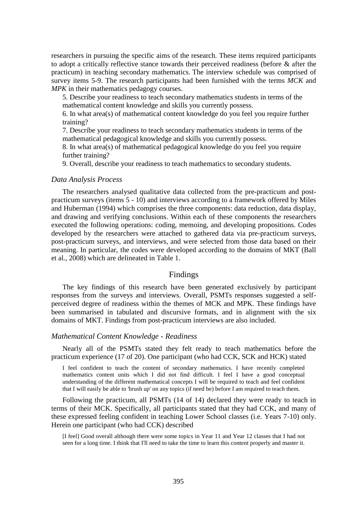researchers in pursuing the specific aims of the research. These items required participants to adopt a critically reflective stance towards their perceived readiness (before & after the practicum) in teaching secondary mathematics. The interview schedule was comprised of survey items 5-9. The research participants had been furnished with the terms *MCK* and *MPK* in their mathematics pedagogy courses.

5. Describe your readiness to teach secondary mathematics students in terms of the mathematical content knowledge and skills you currently possess.

6. In what area(s) of mathematical content knowledge do you feel you require further training?

7. Describe your readiness to teach secondary mathematics students in terms of the mathematical pedagogical knowledge and skills you currently possess.

8. In what area(s) of mathematical pedagogical knowledge do you feel you require further training?

9. Overall, describe your readiness to teach mathematics to secondary students.

#### *Data Analysis Process*

The researchers analysed qualitative data collected from the pre-practicum and postpracticum surveys (items 5 - 10) and interviews according to a framework offered by Miles and Huberman (1994) which comprises the three components: data reduction, data display, and drawing and verifying conclusions. Within each of these components the researchers executed the following operations: coding, memoing, and developing propositions. Codes developed by the researchers were attached to gathered data via pre-practicum surveys, post-practicum surveys, and interviews, and were selected from those data based on their meaning. In particular, the codes were developed according to the domains of MKT (Ball et al., 2008) which are delineated in Table 1.

# Findings

The key findings of this research have been generated exclusively by participant responses from the surveys and interviews. Overall, PSMTs responses suggested a selfperceived degree of readiness within the themes of MCK and MPK. These findings have been summarised in tabulated and discursive formats, and in alignment with the six domains of MKT. Findings from post-practicum interviews are also included.

#### *Mathematical Content Knowledge - Readiness*

Nearly all of the PSMTs stated they felt ready to teach mathematics before the practicum experience (17 of 20). One participant (who had CCK, SCK and HCK) stated

I feel confident to teach the content of secondary mathematics. I have recently completed mathematics content units which I did not find difficult. I feel I have a good conceptual understanding of the different mathematical concepts I will be required to teach and feel confident that I will easily be able to 'brush up' on any topics (if need be) before I am required to teach them.

Following the practicum, all PSMTs (14 of 14) declared they were ready to teach in terms of their MCK. Specifically, all participants stated that they had CCK, and many of these expressed feeling confident in teaching Lower School classes (i.e. Years 7-10) only. Herein one participant (who had CCK) described

[I feel] Good overall although there were some topics in Year 11 and Year 12 classes that I had not seen for a long time. I think that I'll need to take the time to learn this content properly and master it.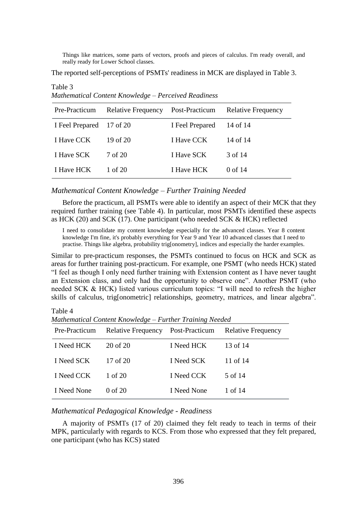Things like matrices, some parts of vectors, proofs and pieces of calculus. I'm ready overall, and really ready for Lower School classes.

The reported self-perceptions of PSMTs' readiness in MCK are displayed in Table 3.

Pre-Practicum Relative Frequency Post-Practicum Relative Frequency I Feel Prepared 17 of 20 I Feel Prepared 14 of 14 I Have CCK 19 of 20 I Have CCK 14 of 14 I Have SCK 7 of 20 I Have SCK 3 of 14 I Have HCK 1 of 20 I Have HCK 0 of 14

*Mathematical Content Knowledge – Perceived Readiness*

# *Mathematical Content Knowledge – Further Training Needed*

Before the practicum, all PSMTs were able to identify an aspect of their MCK that they required further training (see Table 4). In particular, most PSMTs identified these aspects as HCK (20) and SCK (17). One participant (who needed SCK & HCK) reflected

I need to consolidate my content knowledge especially for the advanced classes. Year 8 content knowledge I'm fine, it's probably everything for Year 9 and Year 10 advanced classes that I need to practise. Things like algebra, probability trig[onometry], indices and especially the harder examples.

Similar to pre-practicum responses, the PSMTs continued to focus on HCK and SCK as areas for further training post-practicum. For example, one PSMT (who needs HCK) stated "I feel as though I only need further training with Extension content as I have never taught an Extension class, and only had the opportunity to observe one". Another PSMT (who needed SCK & HCK) listed various curriculum topics: "I will need to refresh the higher skills of calculus, trig[onometric] relationships, geometry, matrices, and linear algebra".

Table 4

Table 3

*Mathematical Content Knowledge – Further Training Needed*

| Pre-Practicum | Relative Frequency Post-Practicum Relative Frequency |             |          |
|---------------|------------------------------------------------------|-------------|----------|
| I Need HCK    | 20 of 20                                             | I Need HCK  | 13 of 14 |
| I Need SCK    | 17 of $20$                                           | I Need SCK  | 11 of 14 |
| I Need CCK    | 1 of 20                                              | I Need CCK  | 5 of 14  |
| I Need None   | $0$ of $20$                                          | I Need None | 1 of 14  |

# *Mathematical Pedagogical Knowledge - Readiness*

A majority of PSMTs (17 of 20) claimed they felt ready to teach in terms of their MPK, particularly with regards to KCS. From those who expressed that they felt prepared, one participant (who has KCS) stated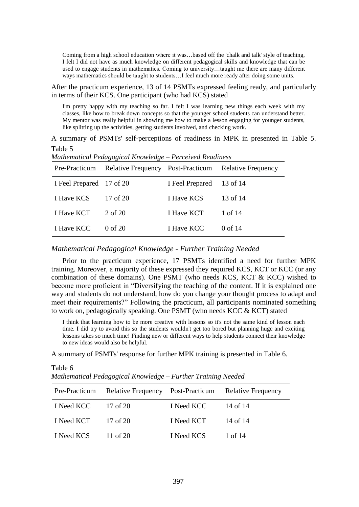Coming from a high school education where it was…based off the 'chalk and talk' style of teaching, I felt I did not have as much knowledge on different pedagogical skills and knowledge that can be used to engage students in mathematics. Coming to university…taught me there are many different ways mathematics should be taught to students…I feel much more ready after doing some units.

After the practicum experience, 13 of 14 PSMTs expressed feeling ready, and particularly in terms of their KCS. One participant (who had KCS) stated

I'm pretty happy with my teaching so far. I felt I was learning new things each week with my classes, like how to break down concepts so that the younger school students can understand better. My mentor was really helpful in showing me how to make a lesson engaging for younger students, like splitting up the activities, getting students involved, and checking work.

A summary of PSMTs' self-perceptions of readiness in MPK in presented in Table 5. Table 5

| Pre-Practicum            | mamemanear I caagogicar Khowicage - I creerved Kelaamess<br>Relative Frequency Post-Practicum Relative Frequency |                 |          |
|--------------------------|------------------------------------------------------------------------------------------------------------------|-----------------|----------|
| I Feel Prepared 17 of 20 |                                                                                                                  | I Feel Prepared | 13 of 14 |
| I Have KCS               | 17 of 20                                                                                                         | I Have KCS      | 13 of 14 |
| I Have KCT               | 2 of 20                                                                                                          | I Have KCT      | 1 of 14  |
| I Have KCC               | 0 of 20                                                                                                          | I Have KCC      | 0 of 14  |

*Mathematical Pedagogical Knowledge – Perceived Readiness*

# *Mathematical Pedagogical Knowledge - Further Training Needed*

Prior to the practicum experience, 17 PSMTs identified a need for further MPK training. Moreover, a majority of these expressed they required KCS, KCT or KCC (or any combination of these domains). One PSMT (who needs KCS, KCT & KCC) wished to become more proficient in "Diversifying the teaching of the content. If it is explained one way and students do not understand, how do you change your thought process to adapt and meet their requirements?" Following the practicum, all participants nominated something to work on, pedagogically speaking. One PSMT (who needs KCC & KCT) stated

I think that learning how to be more creative with lessons so it's not the same kind of lesson each time. I did try to avoid this so the students wouldn't get too bored but planning huge and exciting lessons takes so much time! Finding new or different ways to help students connect their knowledge to new ideas would also be helpful.

A summary of PSMTs' response for further MPK training is presented in Table 6.

| Pre-Practicum |          |            | Relative Frequency Post-Practicum Relative Frequency |
|---------------|----------|------------|------------------------------------------------------|
| I Need KCC    | 17 of 20 | I Need KCC | 14 of 14                                             |
| I Need KCT    | 17 of 20 | I Need KCT | 14 of 14                                             |
| I Need KCS    | 11 of 20 | I Need KCS | 1 of 14                                              |

*Mathematical Pedagogical Knowledge – Further Training Needed*

Table 6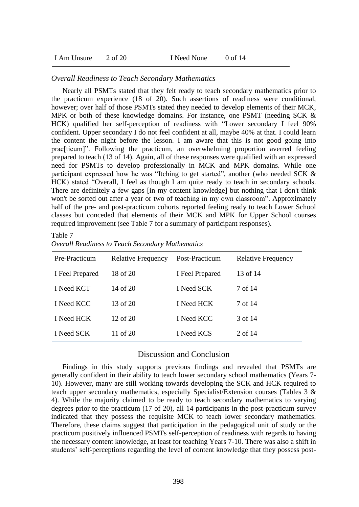| 2 of 20<br>I Am Unsure | I Need None | 0 of 14 |
|------------------------|-------------|---------|
|------------------------|-------------|---------|

# *Overall Readiness to Teach Secondary Mathematics*

Nearly all PSMTs stated that they felt ready to teach secondary mathematics prior to the practicum experience (18 of 20). Such assertions of readiness were conditional, however; over half of those PSMTs stated they needed to develop elements of their MCK, MPK or both of these knowledge domains. For instance, one PSMT (needing SCK & HCK) qualified her self-perception of readiness with "Lower secondary I feel 90% confident. Upper secondary I do not feel confident at all, maybe 40% at that. I could learn the content the night before the lesson. I am aware that this is not good going into prac[ticum]". Following the practicum, an overwhelming proportion averred feeling prepared to teach (13 of 14). Again, all of these responses were qualified with an expressed need for PSMTs to develop professionally in MCK and MPK domains. While one participant expressed how he was "Itching to get started", another (who needed SCK & HCK) stated "Overall, I feel as though I am quite ready to teach in secondary schools. There are definitely a few gaps [in my content knowledge] but nothing that I don't think won't be sorted out after a year or two of teaching in my own classroom". Approximately half of the pre- and post-practicum cohorts reported feeling ready to teach Lower School classes but conceded that elements of their MCK and MPK for Upper School courses required improvement (see Table 7 for a summary of participant responses).

#### Table 7

# *Overall Readiness to Teach Secondary Mathematics*

| Pre-Practicum   | <b>Relative Frequency</b> | Post-Practicum  | <b>Relative Frequency</b> |
|-----------------|---------------------------|-----------------|---------------------------|
| I Feel Prepared | 18 of 20                  | I Feel Prepared | 13 of 14                  |
| I Need KCT      | 14 of 20                  | I Need SCK      | 7 of 14                   |
| I Need KCC      | 13 of 20                  | I Need HCK      | 7 of 14                   |
| I Need HCK      | 12 of 20                  | I Need KCC      | 3 of 14                   |
| I Need SCK      | 11 of 20                  | I Need KCS      | 2 of 14                   |

# Discussion and Conclusion

Findings in this study supports previous findings and revealed that PSMTs are generally confident in their ability to teach lower secondary school mathematics (Years 7- 10). However, many are still working towards developing the SCK and HCK required to teach upper secondary mathematics, especially Specialist/Extension courses (Tables 3 & 4). While the majority claimed to be ready to teach secondary mathematics to varying degrees prior to the practicum (17 of 20), all 14 participants in the post-practicum survey indicated that they possess the requisite MCK to teach lower secondary mathematics. Therefore, these claims suggest that participation in the pedagogical unit of study or the practicum positively influenced PSMTs self-perception of readiness with regards to having the necessary content knowledge, at least for teaching Years 7-10. There was also a shift in students' self-perceptions regarding the level of content knowledge that they possess post